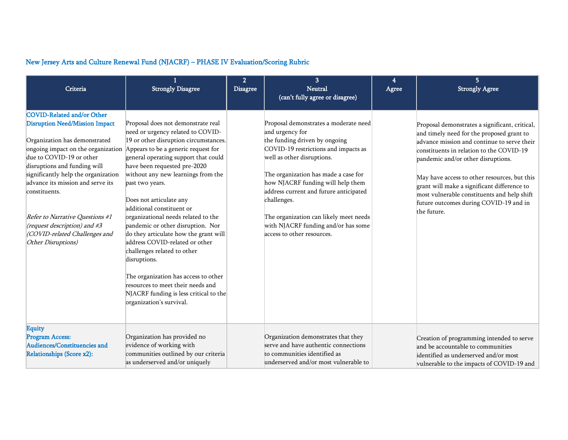## New Jersey Arts and Culture Renewal Fund (NJACRF) – PHASE IV Evaluation/Scoring Rubric

| Criteria                                                                                                                                                                                                                                                                                                                                                                                                                             | <b>Strongly Disagree</b>                                                                                                                                                                                                                                                                                                                                                                                                                                                                                                                                                                                                                                                                                  | $\overline{2}$<br>Disagree | 3<br><b>Neutral</b><br>(can't fully agree or disagree)                                                                                                                                                                                                                                                                                                                                                               | 4<br>Agree | 5.<br><b>Strongly Agree</b>                                                                                                                                                                                                                                                                                                                                                                                                         |
|--------------------------------------------------------------------------------------------------------------------------------------------------------------------------------------------------------------------------------------------------------------------------------------------------------------------------------------------------------------------------------------------------------------------------------------|-----------------------------------------------------------------------------------------------------------------------------------------------------------------------------------------------------------------------------------------------------------------------------------------------------------------------------------------------------------------------------------------------------------------------------------------------------------------------------------------------------------------------------------------------------------------------------------------------------------------------------------------------------------------------------------------------------------|----------------------------|----------------------------------------------------------------------------------------------------------------------------------------------------------------------------------------------------------------------------------------------------------------------------------------------------------------------------------------------------------------------------------------------------------------------|------------|-------------------------------------------------------------------------------------------------------------------------------------------------------------------------------------------------------------------------------------------------------------------------------------------------------------------------------------------------------------------------------------------------------------------------------------|
| <b>COVID-Related and/or Other</b><br><b>Disruption Need/Mission Impact</b><br>Organization has demonstrated<br>ongoing impact on the organization<br>due to COVID-19 or other<br>disruptions and funding will<br>significantly help the organization<br>advance its mission and serve its<br>constituents.<br>Refer to Narrative Questions #1<br>(request description) and #3<br>(COVID-related Challenges and<br>Other Disruptions) | Proposal does not demonstrate real<br>need or urgency related to COVID-<br>19 or other disruption circumstances.<br>Appears to be a generic request for<br>general operating support that could<br>have been requested pre-2020<br>without any new learnings from the<br>past two years.<br>Does not articulate any<br>additional constituent or<br>organizational needs related to the<br>pandemic or other disruption. Nor<br>do they articulate how the grant will<br>address COVID-related or other<br>challenges related to other<br>disruptions.<br>The organization has access to other<br>resources to meet their needs and<br>NJACRF funding is less critical to the<br>organization's survival. |                            | Proposal demonstrates a moderate need<br>and urgency for<br>the funding driven by ongoing<br>COVID-19 restrictions and impacts as<br>well as other disruptions.<br>The organization has made a case for<br>how NJACRF funding will help them<br>address current and future anticipated<br>challenges.<br>The organization can likely meet needs<br>with NJACRF funding and/or has some<br>access to other resources. |            | Proposal demonstrates a significant, critical,<br>and timely need for the proposed grant to<br>advance mission and continue to serve their<br>constituents in relation to the COVID-19<br>pandemic and/or other disruptions.<br>May have access to other resources, but this<br>grant will make a significant difference to<br>most vulnerable constituents and help shift<br>future outcomes during COVID-19 and in<br>the future. |
| <b>Equity</b><br><b>Program Access:</b><br>Audiences/Constituencies and<br><b>Relationships (Score x2):</b>                                                                                                                                                                                                                                                                                                                          | Organization has provided no<br>evidence of working with<br>communities outlined by our criteria<br>as underserved and/or uniquely                                                                                                                                                                                                                                                                                                                                                                                                                                                                                                                                                                        |                            | Organization demonstrates that they<br>serve and have authentic connections<br>to communities identified as<br>underserved and/or most vulnerable to                                                                                                                                                                                                                                                                 |            | Creation of programming intended to serve<br>and be accountable to communities<br>identified as underserved and/or most<br>vulnerable to the impacts of COVID-19 and                                                                                                                                                                                                                                                                |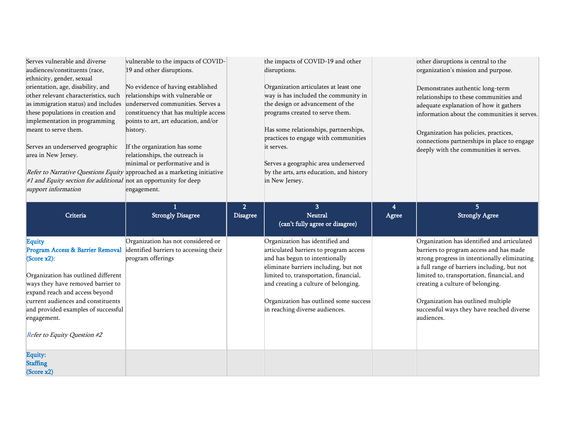| Serves vulnerable and diverse<br>audiences/constituents (race,<br>ethnicity, gender, sexual<br>orientation, age, disability, and<br>other relevant characteristics, such<br>as immigration status) and includes<br>these populations in creation and<br>implementation in programming<br>meant to serve them.<br>Serves an underserved geographic<br>area in New Jersey.<br>#1 and Equity section for additional not an opportunity for deep<br>support information | vulnerable to the impacts of COVID-<br>19 and other disruptions.<br>No evidence of having established<br>relationships with vulnerable or<br>underserved communities. Serves a<br>constituency that has multiple access<br>points to art, art education, and/or<br>history.<br>If the organization has some<br>relationships, the outreach is<br>minimal or performative and is<br>Refer to Narrative Questions Equity approached as a marketing initiative<br>engagement. |                                   | the impacts of COVID-19 and other<br>disruptions.<br>Organization articulates at least one<br>way is has included the community in<br>the design or advancement of the<br>programs created to serve them.<br>Has some relationships, partnerships,<br>practices to engage with communities<br>it serves.<br>Serves a geographic area underserved<br>by the arts, arts education, and history<br>in New Jersey. |                         | other disruptions is central to the<br>organization's mission and purpose.<br>Demonstrates authentic long-term<br>relationships to these communities and<br>adequate explanation of how it gathers<br>information about the communities it serves.<br>Organization has policies, practices,<br>connections partnerships in place to engage<br>deeply with the communities it serves. |
|---------------------------------------------------------------------------------------------------------------------------------------------------------------------------------------------------------------------------------------------------------------------------------------------------------------------------------------------------------------------------------------------------------------------------------------------------------------------|----------------------------------------------------------------------------------------------------------------------------------------------------------------------------------------------------------------------------------------------------------------------------------------------------------------------------------------------------------------------------------------------------------------------------------------------------------------------------|-----------------------------------|----------------------------------------------------------------------------------------------------------------------------------------------------------------------------------------------------------------------------------------------------------------------------------------------------------------------------------------------------------------------------------------------------------------|-------------------------|--------------------------------------------------------------------------------------------------------------------------------------------------------------------------------------------------------------------------------------------------------------------------------------------------------------------------------------------------------------------------------------|
| Criteria                                                                                                                                                                                                                                                                                                                                                                                                                                                            | <b>Strongly Disagree</b>                                                                                                                                                                                                                                                                                                                                                                                                                                                   | 2 <sup>1</sup><br><b>Disagree</b> | 3<br>Neutral<br>(can't fully agree or disagree)                                                                                                                                                                                                                                                                                                                                                                | $\overline{4}$<br>Agree | 5.<br><b>Strongly Agree</b>                                                                                                                                                                                                                                                                                                                                                          |
| <b>Equity</b><br>Program Access & Barrier Removal<br>$(Score x2)$ :<br>Organization has outlined different<br>ways they have removed barrier to<br>expand reach and access beyond<br>current audiences and constituents<br>and provided examples of successful<br>engagement.<br>Refer to Equity Question #2                                                                                                                                                        | Organization has not considered or<br>identified barriers to accessing their<br>program offerings                                                                                                                                                                                                                                                                                                                                                                          |                                   | Organization has identified and<br>articulated barriers to program access<br>and has begun to intentionally<br>eliminate barriers including, but not<br>limited to, transportation, financial,<br>and creating a culture of belonging.<br>Organization has outlined some success<br>in reaching diverse audiences.                                                                                             |                         | Organization has identified and articulated<br>barriers to program access and has made<br>strong progress in intentionally eliminating<br>a full range of barriers including, but not<br>limited to, transportation, financial, and<br>creating a culture of belonging.<br>Organization has outlined multiple<br>successful ways they have reached diverse<br>audiences.             |
| <b>Equity:</b><br><b>Staffing</b><br>(Score x2)                                                                                                                                                                                                                                                                                                                                                                                                                     |                                                                                                                                                                                                                                                                                                                                                                                                                                                                            |                                   |                                                                                                                                                                                                                                                                                                                                                                                                                |                         |                                                                                                                                                                                                                                                                                                                                                                                      |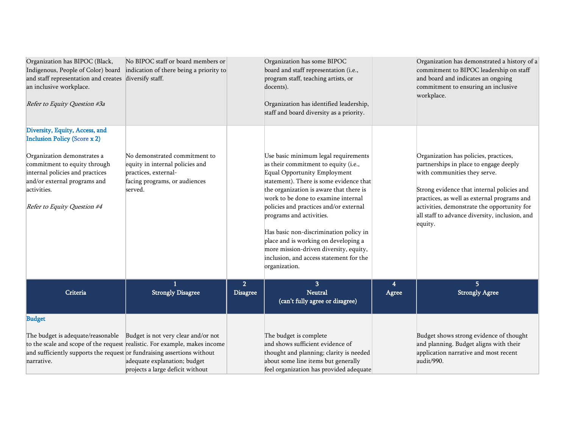| Organization has BIPOC (Black,<br>Indigenous, People of Color) board<br>and staff representation and creates diversify staff.<br>an inclusive workplace.<br>Refer to Equity Question #3a | No BIPOC staff or board members or<br>indication of there being a priority to                                                                  |                                   | Organization has some BIPOC<br>board and staff representation (i.e.,<br>program staff, teaching artists, or<br>docents).<br>Organization has identified leadership,<br>staff and board diversity as a priority.                                                                                                                                                                                                                                                                                         |            | Organization has demonstrated a history of a<br>commitment to BIPOC leadership on staff<br>and board and indicates an ongoing<br>commitment to ensuring an inclusive<br>workplace.                                                                                                                                       |
|------------------------------------------------------------------------------------------------------------------------------------------------------------------------------------------|------------------------------------------------------------------------------------------------------------------------------------------------|-----------------------------------|---------------------------------------------------------------------------------------------------------------------------------------------------------------------------------------------------------------------------------------------------------------------------------------------------------------------------------------------------------------------------------------------------------------------------------------------------------------------------------------------------------|------------|--------------------------------------------------------------------------------------------------------------------------------------------------------------------------------------------------------------------------------------------------------------------------------------------------------------------------|
| Diversity, Equity, Access, and<br><b>Inclusion Policy (Score x 2)</b>                                                                                                                    |                                                                                                                                                |                                   |                                                                                                                                                                                                                                                                                                                                                                                                                                                                                                         |            |                                                                                                                                                                                                                                                                                                                          |
| Organization demonstrates a<br>commitment to equity through<br>internal policies and practices<br>and/or external programs and<br>activities.<br>Refer to Equity Question #4             | No demonstrated commitment to<br>equity in internal policies and<br>practices, external-<br>facing programs, or audiences<br>served.           |                                   | Use basic minimum legal requirements<br>as their commitment to equity (i.e.,<br>Equal Opportunity Employment<br>statement). There is some evidence that<br>the organization is aware that there is<br>work to be done to examine internal<br>policies and practices and/or external<br>programs and activities.<br>Has basic non-discrimination policy in<br>place and is working on developing a<br>more mission-driven diversity, equity,<br>inclusion, and access statement for the<br>organization. |            | Organization has policies, practices,<br>partnerships in place to engage deeply<br>with communities they serve.<br>Strong evidence that internal policies and<br>practices, as well as external programs and<br>activities, demonstrate the opportunity for<br>all staff to advance diversity, inclusion, and<br>equity. |
| Criteria                                                                                                                                                                                 | <b>Strongly Disagree</b>                                                                                                                       | 2 <sup>1</sup><br><b>Disagree</b> | $\overline{\mathbf{3}}$<br><b>Neutral</b><br>(can't fully agree or disagree)                                                                                                                                                                                                                                                                                                                                                                                                                            | 4<br>Agree | 5<br><b>Strongly Agree</b>                                                                                                                                                                                                                                                                                               |
| <b>Budget</b>                                                                                                                                                                            |                                                                                                                                                |                                   |                                                                                                                                                                                                                                                                                                                                                                                                                                                                                                         |            |                                                                                                                                                                                                                                                                                                                          |
| The budget is adequate/reasonable  Budget is not very clear and/or not<br>and sufficiently supports the request or fundraising assertions without<br>narrative.                          | to the scale and scope of the request realistic. For example, makes income<br>adequate explanation; budget<br>projects a large deficit without |                                   | The budget is complete<br>and shows sufficient evidence of<br>thought and planning; clarity is needed<br>about some line items but generally<br>feel organization has provided adequate                                                                                                                                                                                                                                                                                                                 |            | Budget shows strong evidence of thought<br>and planning. Budget aligns with their<br>application narrative and most recent<br>audit/990.                                                                                                                                                                                 |